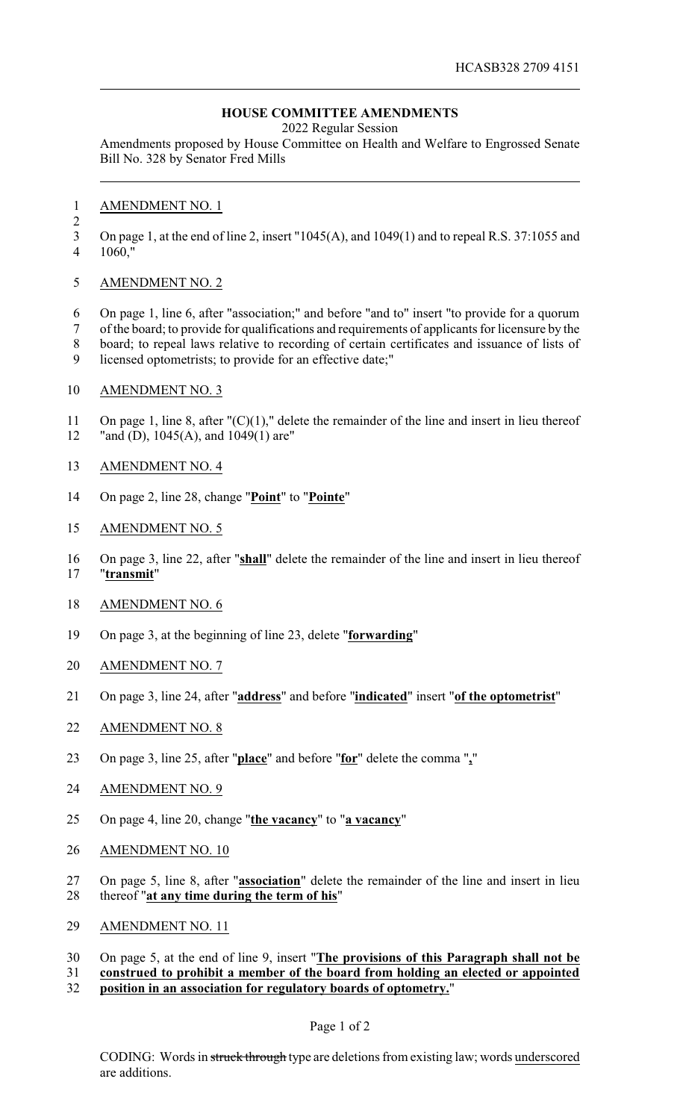## **HOUSE COMMITTEE AMENDMENTS**

2022 Regular Session

Amendments proposed by House Committee on Health and Welfare to Engrossed Senate Bill No. 328 by Senator Fred Mills

- AMENDMENT NO. 1
- 

On page 1, at the end of line 2, insert "1045(A), and 1049(1) and to repeal R.S. 37:1055 and

- 1060,"
- AMENDMENT NO. 2

 On page 1, line 6, after "association;" and before "and to" insert "to provide for a quorum of the board; to provide for qualifications and requirements of applicants for licensure by the board; to repeal laws relative to recording of certain certificates and issuance of lists of licensed optometrists; to provide for an effective date;"

AMENDMENT NO. 3

 On page 1, line 8, after "(C)(1)," delete the remainder of the line and insert in lieu thereof 12 "and (D), 1045(A), and 1049(1) are"

- AMENDMENT NO. 4
- On page 2, line 28, change "**Point**" to "**Pointe**"
- AMENDMENT NO. 5

 On page 3, line 22, after "**shall**" delete the remainder of the line and insert in lieu thereof "**transmit**"

- AMENDMENT NO. 6
- On page 3, at the beginning of line 23, delete "**forwarding**"
- AMENDMENT NO. 7
- On page 3, line 24, after "**address**" and before "**indicated**" insert "**of the optometrist**"
- AMENDMENT NO. 8
- On page 3, line 25, after "**place**" and before "**for**" delete the comma "**,**"
- AMENDMENT NO. 9
- On page 4, line 20, change "**the vacancy**" to "**a vacancy**"
- AMENDMENT NO. 10
- On page 5, line 8, after "**association**" delete the remainder of the line and insert in lieu thereof "**at any time during the term of his**"
- AMENDMENT NO. 11
- On page 5, at the end of line 9, insert "**The provisions of this Paragraph shall not be**
- **construed to prohibit a member of the board from holding an elected or appointed**
- **position in an association for regulatory boards of optometry.**"

Page 1 of 2

CODING: Words in struck through type are deletions from existing law; words underscored are additions.